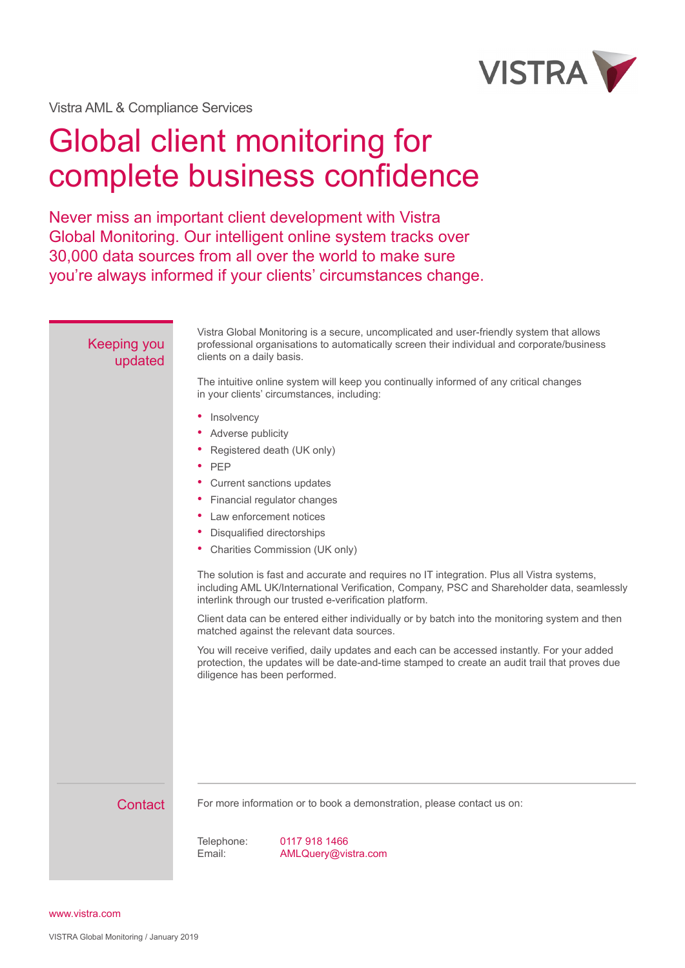

Vistra AML & Compliance Services

## Global client monitoring for complete business confidence

Never miss an important client development with Vistra Global Monitoring. Our intelligent online system tracks over 30,000 data sources from all over the world to make sure you're always informed if your clients' circumstances change.

| <b>Keeping you</b><br>updated | Vistra Global Monitoring is a secure, uncomplicated and user-friendly system that allows<br>professional organisations to automatically screen their individual and corporate/business<br>clients on a daily basis.                                |
|-------------------------------|----------------------------------------------------------------------------------------------------------------------------------------------------------------------------------------------------------------------------------------------------|
|                               | The intuitive online system will keep you continually informed of any critical changes<br>in your clients' circumstances, including:                                                                                                               |
|                               | Insolvency<br>٠<br>Adverse publicity<br>Registered death (UK only)<br>PEP<br>Current sanctions updates<br>Financial regulator changes<br>Law enforcement notices                                                                                   |
|                               |                                                                                                                                                                                                                                                    |
|                               | Disqualified directorships<br>• Charities Commission (UK only)                                                                                                                                                                                     |
|                               | The solution is fast and accurate and requires no IT integration. Plus all Vistra systems,<br>including AML UK/International Verification, Company, PSC and Shareholder data, seamlessly<br>interlink through our trusted e-verification platform. |
|                               | Client data can be entered either individually or by batch into the monitoring system and then<br>matched against the relevant data sources.                                                                                                       |
|                               | You will receive verified, daily updates and each can be accessed instantly. For your added<br>protection, the updates will be date-and-time stamped to create an audit trail that proves due<br>diligence has been performed.                     |
|                               |                                                                                                                                                                                                                                                    |
| Contact                       | For more information or to book a demonstration, please contact us on:                                                                                                                                                                             |
|                               | 0117 918 1466<br>Telephone:<br>Email:<br>AMLQuery@vistra.com                                                                                                                                                                                       |